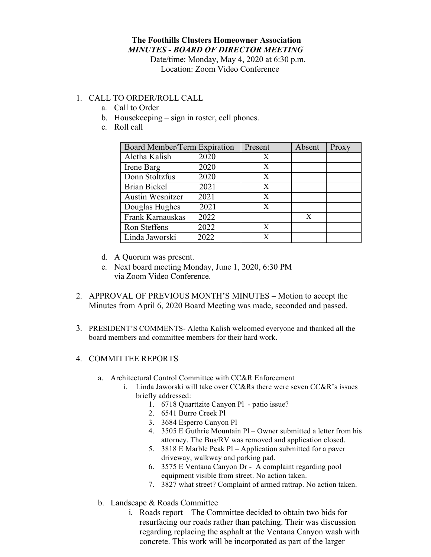## **The Foothills Clusters Homeowner Association** *MINUTES - BOARD OF DIRECTOR MEETING*

Date/time: Monday, May 4, 2020 at 6:30 p.m. Location: Zoom Video Conference

## 1. CALL TO ORDER/ROLL CALL

- a. Call to Order
- b. Housekeeping sign in roster, cell phones.
- c. Roll call

| Board Member/Term Expiration |      | Present | Absent | Proxy |
|------------------------------|------|---------|--------|-------|
| Aletha Kalish                | 2020 | X       |        |       |
| Irene Barg                   | 2020 | X       |        |       |
| Donn Stoltzfus               | 2020 | X       |        |       |
| Brian Bickel                 | 2021 | X       |        |       |
| <b>Austin Wesnitzer</b>      | 2021 | X       |        |       |
| Douglas Hughes               | 2021 | X       |        |       |
| Frank Karnauskas             | 2022 |         | X      |       |
| Ron Steffens                 | 2022 | X       |        |       |
| Linda Jaworski               | 2022 | X       |        |       |

- d. A Quorum was present.
- e. Next board meeting Monday, June 1, 2020, 6:30 PM via Zoom Video Conference.
- 2. APPROVAL OF PREVIOUS MONTH'S MINUTES Motion to accept the Minutes from April 6, 2020 Board Meeting was made, seconded and passed.
- 3. PRESIDENT'S COMMENTS- Aletha Kalish welcomed everyone and thanked all the board members and committee members for their hard work.

## 4. COMMITTEE REPORTS

- a. Architectural Control Committee with CC&R Enforcement
	- i. Linda Jaworski will take over CC&Rs there were seven CC&R's issues briefly addressed:
		- 1. 6718 Quarttzite Canyon Pl patio issue?
		- 2. 6541 Burro Creek Pl
		- 3. 3684 Esperro Canyon Pl
		- 4. 3505 E Guthrie Mountain Pl Owner submitted a letter from his attorney. The Bus/RV was removed and application closed.
		- 5. 3818 E Marble Peak Pl Application submitted for a paver driveway, walkway and parking pad.
		- 6. 3575 E Ventana Canyon Dr A complaint regarding pool equipment visible from street. No action taken.
		- 7. 3827 what street? Complaint of armed rattrap. No action taken.
- b. Landscape & Roads Committee
	- i. Roads report The Committee decided to obtain two bids for resurfacing our roads rather than patching. Their was discussion regarding replacing the asphalt at the Ventana Canyon wash with concrete. This work will be incorporated as part of the larger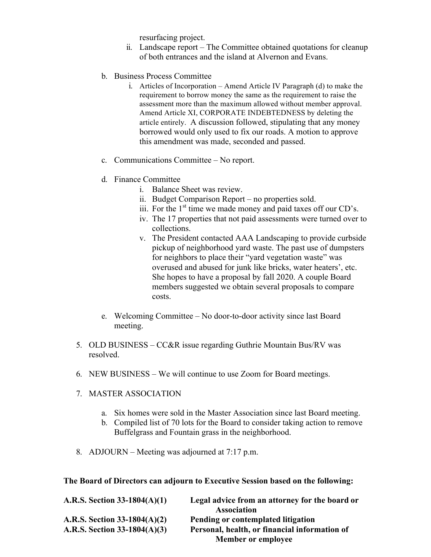resurfacing project.

- ii. Landscape report The Committee obtained quotations for cleanup of both entrances and the island at Alvernon and Evans.
- b. Business Process Committee
	- i. Articles of Incorporation Amend Article IV Paragraph (d) to make the requirement to borrow money the same as the requirement to raise the assessment more than the maximum allowed without member approval. Amend Article XI, CORPORATE INDEBTEDNESS by deleting the article entirely. A discussion followed, stipulating that any money borrowed would only used to fix our roads. A motion to approve this amendment was made, seconded and passed.
- c. Communications Committee No report.
- d. Finance Committee
	- i. Balance Sheet was review.
	- ii. Budget Comparison Report no properties sold.
	- iii. For the  $1<sup>st</sup>$  time we made money and paid taxes off our CD's.
	- iv. The 17 properties that not paid assessments were turned over to collections.
	- v. The President contacted AAA Landscaping to provide curbside pickup of neighborhood yard waste. The past use of dumpsters for neighbors to place their "yard vegetation waste" was overused and abused for junk like bricks, water heaters', etc. She hopes to have a proposal by fall 2020. A couple Board members suggested we obtain several proposals to compare costs.
- e. Welcoming Committee No door-to-door activity since last Board meeting.
- 5. OLD BUSINESS CC&R issue regarding Guthrie Mountain Bus/RV was resolved.
- 6. NEW BUSINESS We will continue to use Zoom for Board meetings.
- 7. MASTER ASSOCIATION
	- a. Six homes were sold in the Master Association since last Board meeting.
	- b. Compiled list of 70 lots for the Board to consider taking action to remove Buffelgrass and Fountain grass in the neighborhood.
- 8. ADJOURN Meeting was adjourned at 7:17 p.m.

**The Board of Directors can adjourn to Executive Session based on the following:**

| A.R.S. Section $33-1804(A)(1)$ | Legal advice from an attorney for the board or |
|--------------------------------|------------------------------------------------|
|                                | <b>Association</b>                             |
| A.R.S. Section $33-1804(A)(2)$ | Pending or contemplated litigation             |
| A.R.S. Section $33-1804(A)(3)$ | Personal, health, or financial information of  |
|                                | <b>Member or employee</b>                      |